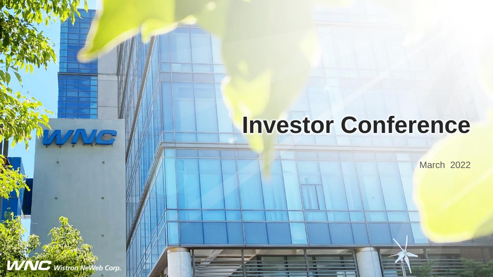## **Investor Conference**

March 2022

**Wistron NeWeb Corp.** 

VME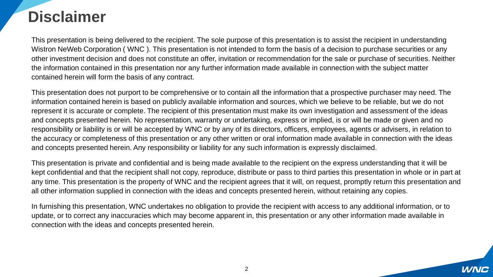#### **Disclaimer**

This presentation is being delivered to the recipient. The sole purpose of this presentation is to assist the recipient in understanding Wistron NeWeb Corporation ( WNC ). This presentation is not intended to form the basis of a decision to purchase securities or any other investment decision and does not constitute an offer, invitation or recommendation for the sale or purchase of securities. Neither the information contained in this presentation nor any further information made available in connection with the subject matter contained herein will form the basis of any contract.

This presentation does not purport to be comprehensive or to contain all the information that a prospective purchaser may need. The information contained herein is based on publicly available information and sources, which we believe to be reliable, but we do not represent it is accurate or complete. The recipient of this presentation must make its own investigation and assessment of the ideas and concepts presented herein. No representation, warranty or undertaking, express or implied, is or will be made or given and no responsibility or liability is or will be accepted by WNC or by any of its directors, officers, employees, agents or advisers, in relation to the accuracy or completeness of this presentation or any other written or oral information made available in connection with the ideas and concepts presented herein. Any responsibility or liability for any such information is expressly disclaimed.

This presentation is private and confidential and is being made available to the recipient on the express understanding that it will be kept confidential and that the recipient shall not copy, reproduce, distribute or pass to third parties this presentation in whole or in part at any time. This presentation is the property of WNC and the recipient agrees that it will, on request, promptly return this presentation and all other information supplied in connection with the ideas and concepts presented herein, without retaining any copies.

In furnishing this presentation, WNC undertakes no obligation to provide the recipient with access to any additional information, or to update, or to correct any inaccuracies which may become apparent in, this presentation or any other information made available in connection with the ideas and concepts presented herein.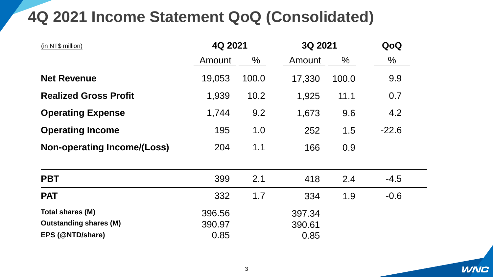### **4Q 2021 Income Statement QoQ (Consolidated)**

| (in NT\$ million)                  | 4Q 2021 |       | 3Q 2021 |       | QoQ           |  |
|------------------------------------|---------|-------|---------|-------|---------------|--|
|                                    | Amount  | $\%$  | Amount  | %     | $\frac{0}{0}$ |  |
| <b>Net Revenue</b>                 | 19,053  | 100.0 | 17,330  | 100.0 | 9.9           |  |
| <b>Realized Gross Profit</b>       | 1,939   | 10.2  | 1,925   | 11.1  | 0.7           |  |
| <b>Operating Expense</b>           | 1,744   | 9.2   | 1,673   | 9.6   | 4.2           |  |
| <b>Operating Income</b>            | 195     | 1.0   | 252     | 1.5   | $-22.6$       |  |
| <b>Non-operating Income/(Loss)</b> | 204     | 1.1   | 166     | 0.9   |               |  |
| <b>PBT</b>                         | 399     | 2.1   | 418     | 2.4   | $-4.5$        |  |
| <b>PAT</b>                         | 332     | 1.7   | 334     | 1.9   | $-0.6$        |  |
| Total shares (M)                   | 396.56  |       | 397.34  |       |               |  |
| <b>Outstanding shares (M)</b>      | 390.97  |       | 390.61  |       |               |  |
| EPS (@NTD/share)                   | 0.85    |       | 0.85    |       |               |  |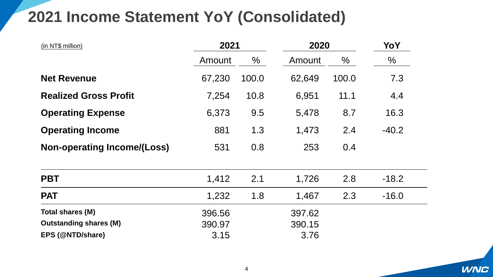#### **2021 Income Statement YoY (Consolidated)**

| (in NT\$ million)                  | 2021   |               | 2020   | YoY   |               |  |
|------------------------------------|--------|---------------|--------|-------|---------------|--|
|                                    | Amount | $\frac{0}{0}$ | Amount | $\%$  | $\frac{0}{0}$ |  |
| <b>Net Revenue</b>                 | 67,230 | 100.0         | 62,649 | 100.0 | 7.3           |  |
| <b>Realized Gross Profit</b>       | 7,254  | 10.8          | 6,951  | 11.1  | 4.4           |  |
| <b>Operating Expense</b>           | 6,373  | 9.5           | 5,478  | 8.7   | 16.3          |  |
| <b>Operating Income</b>            | 881    | 1.3           | 1,473  | 2.4   | $-40.2$       |  |
| <b>Non-operating Income/(Loss)</b> | 531    | 0.8           | 253    | 0.4   |               |  |
| <b>PBT</b>                         | 1,412  | 2.1           | 1,726  | 2.8   | $-18.2$       |  |
| <b>PAT</b>                         | 1,232  | 1.8           | 1,467  | 2.3   | $-16.0$       |  |
| Total shares (M)                   | 396.56 |               | 397.62 |       |               |  |
| <b>Outstanding shares (M)</b>      | 390.97 |               | 390.15 |       |               |  |
| EPS (@NTD/share)                   | 3.15   |               | 3.76   |       |               |  |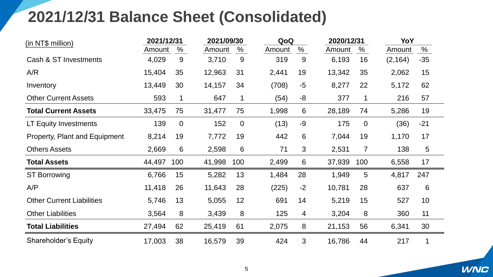#### **2021/12/31 Balance Sheet (Consolidated)**

| (in NT\$ million)                    |        | 2021/12/31 |        | 2021/09/30     |        | QoQ            |        | 2020/12/31     |          | YoY             |  |
|--------------------------------------|--------|------------|--------|----------------|--------|----------------|--------|----------------|----------|-----------------|--|
|                                      | Amount | $\%$       | Amount | $\%$           | Amount | %              | Amount | $\%$           | Amount   | $\%$            |  |
| Cash & ST Investments                | 4,029  | 9          | 3,710  | 9              | 319    | 9              | 6,193  | 16             | (2, 164) | $-35$           |  |
| A/R                                  | 15,404 | 35         | 12,963 | 31             | 2,441  | 19             | 13,342 | 35             | 2,062    | 15              |  |
| Inventory                            | 13,449 | 30         | 14,157 | 34             | (708)  | $-5$           | 8,277  | 22             | 5,172    | 62              |  |
| <b>Other Current Assets</b>          | 593    | 1          | 647    | 1              | (54)   | -8             | 377    | 1              | 216      | 57              |  |
| <b>Total Current Assets</b>          | 33,475 | 75         | 31,477 | 75             | 1,998  | 6              | 28,189 | 74             | 5,286    | 19              |  |
| LT Equity Investments                | 139    | $\Omega$   | 152    | $\overline{0}$ | (13)   | $-9$           | 175    | $\overline{0}$ | (36)     | $-21$           |  |
| <b>Property, Plant and Equipment</b> | 8,214  | 19         | 7,772  | 19             | 442    | 6              | 7,044  | 19             | 1,170    | 17              |  |
| <b>Others Assets</b>                 | 2,669  | 6          | 2,598  | 6              | 71     | 3              | 2,531  | $\overline{7}$ | 138      | $5\overline{)}$ |  |
| <b>Total Assets</b>                  | 44,497 | 100        | 41,998 | 100            | 2,499  | 6              | 37,939 | 100            | 6,558    | 17              |  |
| <b>ST Borrowing</b>                  | 6,766  | 15         | 5,282  | 13             | 1,484  | 28             | 1,949  | 5              | 4,817    | 247             |  |
| A/P                                  | 11,418 | 26         | 11,643 | 28             | (225)  | $-2$           | 10,781 | 28             | 637      | 6               |  |
| <b>Other Current Liabilities</b>     | 5,746  | 13         | 5,055  | 12             | 691    | 14             | 5,219  | 15             | 527      | 10 <sup>°</sup> |  |
| <b>Other Liabilities</b>             | 3,564  | 8          | 3,439  | 8              | 125    | $\overline{4}$ | 3,204  | 8              | 360      | 11              |  |
| <b>Total Liabilities</b>             | 27,494 | 62         | 25,419 | 61             | 2,075  | 8              | 21,153 | 56             | 6,341    | 30              |  |
| <b>Shareholder's Equity</b>          | 17,003 | 38         | 16,579 | 39             | 424    | 3              | 16,786 | 44             | 217      | 1               |  |

**WNC**